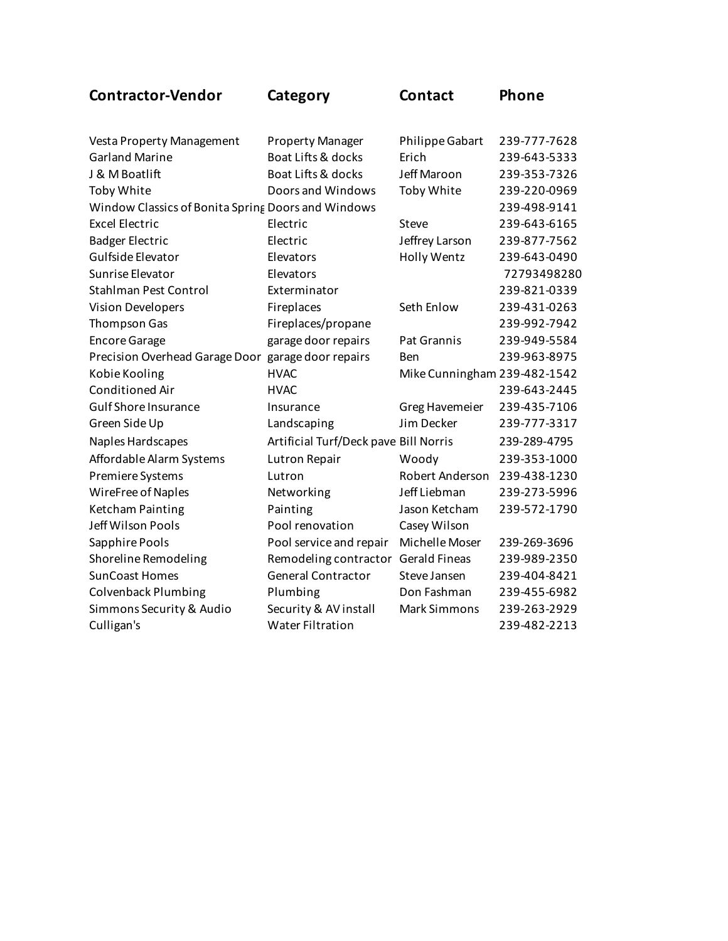| <b>Contractor-Vendor</b>                           | Category                              | <b>Contact</b>               | Phone        |
|----------------------------------------------------|---------------------------------------|------------------------------|--------------|
| Vesta Property Management                          | <b>Property Manager</b>               | Philippe Gabart              | 239-777-7628 |
| <b>Garland Marine</b>                              | Boat Lifts & docks                    | Erich                        | 239-643-5333 |
| J & M Boatlift                                     | <b>Boat Lifts &amp; docks</b>         | Jeff Maroon                  | 239-353-7326 |
| Toby White                                         | Doors and Windows                     | Toby White                   | 239-220-0969 |
| Window Classics of Bonita Spring Doors and Windows |                                       |                              | 239-498-9141 |
| <b>Excel Electric</b>                              | Electric                              | Steve                        | 239-643-6165 |
| <b>Badger Electric</b>                             | Electric                              | Jeffrey Larson               | 239-877-7562 |
| Gulfside Elevator                                  | Elevators                             | Holly Wentz                  | 239-643-0490 |
| Sunrise Elevator                                   | Elevators                             |                              | 72793498280  |
| Stahlman Pest Control                              | Exterminator                          |                              | 239-821-0339 |
| Vision Developers                                  | Fireplaces                            | Seth Enlow                   | 239-431-0263 |
| Thompson Gas                                       | Fireplaces/propane                    |                              | 239-992-7942 |
| <b>Encore Garage</b>                               | garage door repairs                   | <b>Pat Grannis</b>           | 239-949-5584 |
| Precision Overhead Garage Door garage door repairs |                                       | Ben                          | 239-963-8975 |
| Kobie Kooling                                      | <b>HVAC</b>                           | Mike Cunningham 239-482-1542 |              |
| Conditioned Air                                    | <b>HVAC</b>                           |                              | 239-643-2445 |
| <b>Gulf Shore Insurance</b>                        | Insurance                             | <b>Greg Havemeier</b>        | 239-435-7106 |
| Green Side Up                                      | Landscaping                           | Jim Decker                   | 239-777-3317 |
| Naples Hardscapes                                  | Artificial Turf/Deck pave Bill Norris |                              | 239-289-4795 |
| Affordable Alarm Systems                           | Lutron Repair                         | Woody                        | 239-353-1000 |
| Premiere Systems                                   | Lutron                                | Robert Anderson              | 239-438-1230 |
| WireFree of Naples                                 | Networking                            | Jeff Liebman                 | 239-273-5996 |
| <b>Ketcham Painting</b>                            | Painting                              | Jason Ketcham                | 239-572-1790 |
| Jeff Wilson Pools                                  | Pool renovation                       | Casey Wilson                 |              |
| Sapphire Pools                                     | Pool service and repair               | Michelle Moser               | 239-269-3696 |
| Shoreline Remodeling                               | Remodeling contractor Gerald Fineas   |                              | 239-989-2350 |
| <b>SunCoast Homes</b>                              | <b>General Contractor</b>             | Steve Jansen                 | 239-404-8421 |
| <b>Colvenback Plumbing</b>                         | Plumbing                              | Don Fashman                  | 239-455-6982 |
| Simmons Security & Audio                           | Security & AV install                 | <b>Mark Simmons</b>          | 239-263-2929 |
| Culligan's                                         | <b>Water Filtration</b>               |                              | 239-482-2213 |